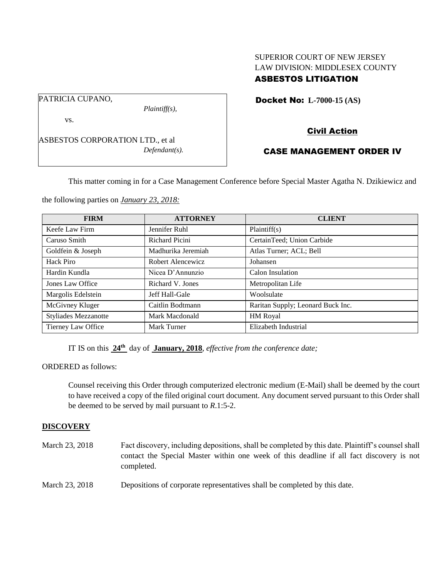# SUPERIOR COURT OF NEW JERSEY LAW DIVISION: MIDDLESEX COUNTY ASBESTOS LITIGATION

Docket No: **L-7000-15 (AS)** 

PATRICIA CUPANO,

*Plaintiff(s),*

vs.

ASBESTOS CORPORATION LTD., et al *Defendant(s).* Civil Action

# CASE MANAGEMENT ORDER IV

This matter coming in for a Case Management Conference before Special Master Agatha N. Dzikiewicz and

the following parties on *January 23, 2018:*

| <b>FIRM</b>                 | <b>ATTORNEY</b>       | <b>CLIENT</b>                     |
|-----------------------------|-----------------------|-----------------------------------|
| Keefe Law Firm              | Jennifer Ruhl         | Plaintiff(s)                      |
| Caruso Smith                | <b>Richard Picini</b> | CertainTeed; Union Carbide        |
| Goldfein & Joseph           | Madhurika Jeremiah    | Atlas Turner; ACL; Bell           |
| Hack Piro                   | Robert Alencewicz     | Johansen                          |
| Hardin Kundla               | Nicea D'Annunzio      | Calon Insulation                  |
| Jones Law Office            | Richard V. Jones      | Metropolitan Life                 |
| Margolis Edelstein          | Jeff Hall-Gale        | Woolsulate                        |
| McGivney Kluger             | Caitlin Bodtmann      | Raritan Supply; Leonard Buck Inc. |
| <b>Styliades Mezzanotte</b> | Mark Macdonald        | HM Royal                          |
| Tierney Law Office          | Mark Turner           | Elizabeth Industrial              |

IT IS on this **24th** day of **January, 2018**, *effective from the conference date;*

ORDERED as follows:

Counsel receiving this Order through computerized electronic medium (E-Mail) shall be deemed by the court to have received a copy of the filed original court document. Any document served pursuant to this Order shall be deemed to be served by mail pursuant to *R*.1:5-2.

### **DISCOVERY**

| March 23, 2018 | Fact discovery, including depositions, shall be completed by this date. Plaintiff's counsel shall<br>contact the Special Master within one week of this deadline if all fact discovery is not<br>completed. |
|----------------|-------------------------------------------------------------------------------------------------------------------------------------------------------------------------------------------------------------|
| March 23, 2018 | Depositions of corporate representatives shall be completed by this date.                                                                                                                                   |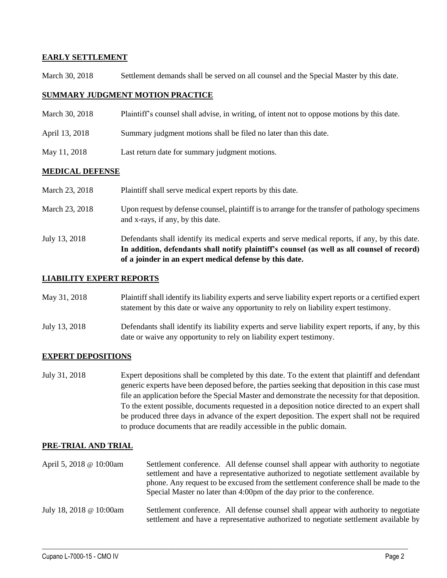## **EARLY SETTLEMENT**

March 30, 2018 Settlement demands shall be served on all counsel and the Special Master by this date.

### **SUMMARY JUDGMENT MOTION PRACTICE**

- March 30, 2018 Plaintiff's counsel shall advise, in writing, of intent not to oppose motions by this date.
- April 13, 2018 Summary judgment motions shall be filed no later than this date.
- May 11, 2018 Last return date for summary judgment motions.

#### **MEDICAL DEFENSE**

| March 23, 2018 | Plaintiff shall serve medical expert reports by this date.                                                                                                                                                                                               |
|----------------|----------------------------------------------------------------------------------------------------------------------------------------------------------------------------------------------------------------------------------------------------------|
| March 23, 2018 | Upon request by defense counsel, plaintiff is to arrange for the transfer of pathology specimens<br>and x-rays, if any, by this date.                                                                                                                    |
| July 13, 2018  | Defendants shall identify its medical experts and serve medical reports, if any, by this date.<br>In addition, defendants shall notify plaintiff's counsel (as well as all counsel of record)<br>of a joinder in an expert medical defense by this date. |

### **LIABILITY EXPERT REPORTS**

| May 31, 2018 | Plaintiff shall identify its liability experts and serve liability expert reports or a certified expert |
|--------------|---------------------------------------------------------------------------------------------------------|
|              | statement by this date or waive any opportunity to rely on liability expert testimony.                  |
|              |                                                                                                         |

July 13, 2018 Defendants shall identify its liability experts and serve liability expert reports, if any, by this date or waive any opportunity to rely on liability expert testimony.

## **EXPERT DEPOSITIONS**

July 31, 2018 Expert depositions shall be completed by this date. To the extent that plaintiff and defendant generic experts have been deposed before, the parties seeking that deposition in this case must file an application before the Special Master and demonstrate the necessity for that deposition. To the extent possible, documents requested in a deposition notice directed to an expert shall be produced three days in advance of the expert deposition. The expert shall not be required to produce documents that are readily accessible in the public domain.

#### **PRE-TRIAL AND TRIAL**

| April 5, 2018 @ 10:00am | Settlement conference. All defense counsel shall appear with authority to negotiate<br>settlement and have a representative authorized to negotiate settlement available by<br>phone. Any request to be excused from the settlement conference shall be made to the<br>Special Master no later than 4:00pm of the day prior to the conference. |
|-------------------------|------------------------------------------------------------------------------------------------------------------------------------------------------------------------------------------------------------------------------------------------------------------------------------------------------------------------------------------------|
| July 18, 2018 @ 10:00am | Settlement conference. All defense counsel shall appear with authority to negotiate<br>settlement and have a representative authorized to negotiate settlement available by                                                                                                                                                                    |

 $\_$  ,  $\_$  ,  $\_$  ,  $\_$  ,  $\_$  ,  $\_$  ,  $\_$  ,  $\_$  ,  $\_$  ,  $\_$  ,  $\_$  ,  $\_$  ,  $\_$  ,  $\_$  ,  $\_$  ,  $\_$  ,  $\_$  ,  $\_$  ,  $\_$  ,  $\_$  ,  $\_$  ,  $\_$  ,  $\_$  ,  $\_$  ,  $\_$  ,  $\_$  ,  $\_$  ,  $\_$  ,  $\_$  ,  $\_$  ,  $\_$  ,  $\_$  ,  $\_$  ,  $\_$  ,  $\_$  ,  $\_$  ,  $\_$  ,